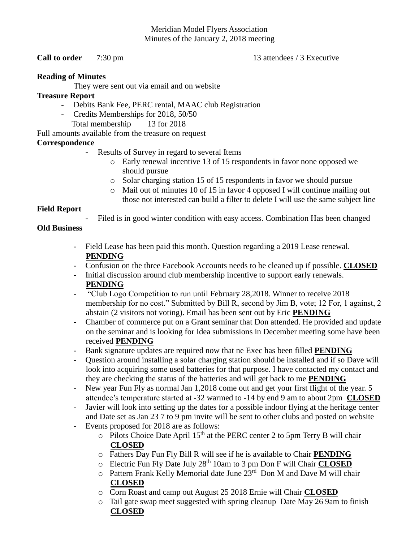## Meridian Model Flyers Association Minutes of the January 2, 2018 meeting

### **Call to order** 7:30 pm 13 attendees / 3 Executive

#### **Reading of Minutes**

They were sent out via email and on website

### **Treasure Report**

- Debits Bank Fee, PERC rental, MAAC club Registration
- Credits Memberships for 2018, 50/50
	- Total membership 13 for 2018

Full amounts available from the treasure on request

# **Correspondence**

- Results of Survey in regard to several Items
	- o Early renewal incentive 13 of 15 respondents in favor none opposed we should pursue
	- o Solar charging station 15 of 15 respondents in favor we should pursue
	- o Mail out of minutes 10 of 15 in favor 4 opposed I will continue mailing out those not interested can build a filter to delete I will use the same subject line

## **Field Report**

Filed is in good winter condition with easy access. Combination Has been changed

# **Old Business**

- Field Lease has been paid this month. Question regarding a 2019 Lease renewal. **PENDING**
- Confusion on the three Facebook Accounts needs to be cleaned up if possible. **CLOSED**
- Initial discussion around club membership incentive to support early renewals. **PENDING**
- "Club Logo Competition to run until February 28,2018. Winner to receive 2018 membership for no cost." Submitted by Bill R, second by Jim B, vote; 12 For, 1 against, 2 abstain (2 visitors not voting). Email has been sent out by Eric **PENDING**
- Chamber of commerce put on a Grant seminar that Don attended. He provided and update on the seminar and is looking for Idea submissions in December meeting some have been received **PENDING**
- Bank signature updates are required now that ne Exec has been filled **PENDING**
- Question around installing a solar charging station should be installed and if so Dave will look into acquiring some used batteries for that purpose. I have contacted my contact and they are checking the status of the batteries and will get back to me **PENDING**
- New year Fun Fly as normal Jan 1,2018 come out and get your first flight of the year. 5 attendee's temperature started at -32 warmed to -14 by end 9 am to about 2pm **CLOSED**
- Javier will look into setting up the dates for a possible indoor flying at the heritage center and Date set as Jan 23 7 to 9 pm invite will be sent to other clubs and posted on website
- Events proposed for 2018 are as follows:
	- $\circ$  Pilots Choice Date April 15<sup>th</sup> at the PERC center 2 to 5pm Terry B will chair **CLOSED**
	- o Fathers Day Fun Fly Bill R will see if he is available to Chair **PENDING**
	- o Electric Fun Fly Date July 28th 10am to 3 pm Don F will Chair **CLOSED**
	- $\circ$  Pattern Frank Kelly Memorial date June  $23<sup>rd</sup>$  Don M and Dave M will chair **CLOSED**
	- o Corn Roast and camp out August 25 2018 Ernie will Chair **CLOSED**
	- o Tail gate swap meet suggested with spring cleanup Date May 26 9am to finish **CLOSED**